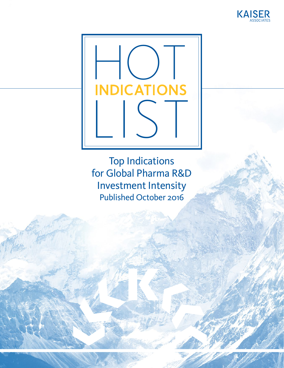



Top Indications for Global Pharma R&D Investment Intensity Published October 2016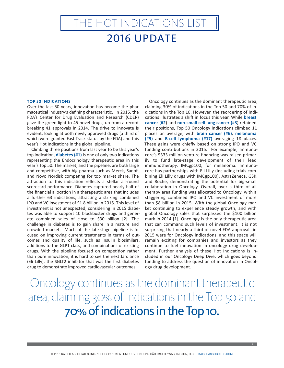#### 2016 UPDATE

HE HOT INDICATIONS LIST

#### **TOP 50 INDICATIONS**

Over the last 50 years, innovation has become the pharmaceutical industry's defining characteristic. In 2015, the FDA's Center for Drug Evaluation and Research (CDER) gave the green light to 45 novel drugs, up from a recordbreaking 41 approvals in 2014. The drive to innovate is evident, looking at both newly approved drugs (a third of which were granted Fast Track status by the FDA) and this year's Hot Indications in the global pipeline.

Climbing three positions from last year to be this year's top indication, **diabetes (#1)** is one of only two indications representing the Endocrinology therapeutic area in this year's Top 50. The market, and the pipeline, are both large and competitive, with big pharma such as Merck, Sanofi, and Novo Nordisk competing for top market share. The attraction to this indication reflects a stellar all-round scorecard performance. Diabetes captured nearly half of the financial allocation in a therapeutic area that includes a further 63 indications, attracting a striking combined IPO and VC investment of \$1.8 billion in 2015. This level of investment is not unexpected, considering in 2015 diabetes was able to support 10 blockbuster drugs and generate combined sales of close to \$30 billion [2]. The challenge in diabetes is to gain share in a mature and crowded market. Much of the late-stage pipeline is focused on improving current treatments in terms of outcomes and quality of life, such as insulin biosimilars, additions to the GLP1 class, and combinations of existing drugs. With the pipeline focused on competition rather than pure innovation, it is hard to see the next Jardiance (Eli Lilly), the SGLT2 inhibitor that was the first diabetes drug to demonstrate improved cardiovascular outcomes.

Oncology continues as the dominant therapeutic area, claiming 30% of indications in the Top 50 and 70% of indications in the Top 10. However, the reordering of indications illustrates a shift in focus this year. While **breast cancer (#2**) and **non-small cell lung cancer (#3**) retained their positions, Top 50 Oncology indications climbed 11 places on average, with **brain cancer (#6)**, **melanoma (#9)** and **B-cell lymphoma (#17)** averaging 18 places. These gains were chiefly based on strong IPO and VC funding contributions in 2015. For example, Immunocore's \$333 million venture financing was raised primarily to fund late-stage development of their lead immunotherapy, IMCgp100, for melanoma. Immunocore has partnerships with Eli Lilly (including trials combining Eli Lilly drugs with IMCgp100), AstraZeneca, GSK, and Roche, demonstrating the potential for big-small collaboration in Oncology. Overall, over a third of all therapy area funding was allocated to Oncology, with a staggering combined IPO and VC investment of more than \$8 billion in 2015. With the global Oncology market continuing to experience steady growth, and with global Oncology sales that surpassed the \$100 billion mark in 2014 [1], Oncology is the only therapeutic area that can command such levels of investment. It is not surprising that nearly a third of novel FDA approvals in 2015 were for Oncology indications, and this space will remain exciting for companies and investors as they continue to fuel innovation in oncology drug development. Further analysis of these Hot Indications is included in our Oncology Deep Dive, which goes beyond funding to address the question of innovation in Oncology drug development.

## Oncology continues as the dominant therapeutic area, claiming 30% of indications in the Top 50 and 70% of indications in the Top 10.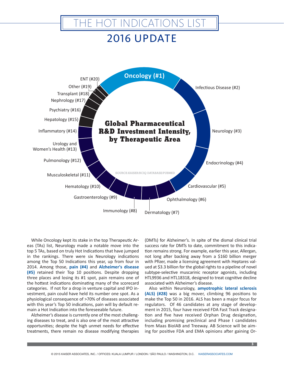### 2016 UPDATE

IE HOT INDICATIONS LIST



While Oncology kept its stake in the top Therapeutic Areas (TAs) list, Neurology made a notable move into the top 5 TAs, based on truly Hot Indications that have jumped in the rankings. There were six Neurology indications among the Top 50 Indications this year, up from four in 2014. Among those, **pain (#4)** and **Alzheimer's disease (#5)** retained their Top 10 positions. Despite dropping three places and losing its #1 spot, pain remains one of the hottest indications dominating many of the scorecard categories. If not for a drop in venture capital and IPO investment, pain could have held its number one spot. As a physiological consequence of >70% of diseases associated with this year's Top 50 indications, pain will by default remain a Hot Indication into the foreseeable future.

Alzheimer's disease is currently one of the most challenging diseases to treat, and is also one of the most attractive opportunities; despite the high unmet needs for effective treatments, there remain no disease modifying therapies

(DMTs) for Alzheimer's. In spite of the dismal clinical trial success rate for DMTs to date, commitment to this indication remains strong. For example, earlier this year, Allergan, not long after backing away from a \$160 billion merger with Pfizer, made a licensing agreement with Heptares valued at \$3.3 billion for the global rights to a pipeline of novel subtype-selective muscarinic receptor agonists, including HTL9936 and HTL18318, designed to treat cognitive decline associated with Alzheimer's disease.

Also within Neurology, **amyotrophic lateral sclerosis (ALS) (#28)** was a big mover, climbing 96 positions to make the Top 50 in 2016. ALS has been a major focus for regulators. Of 46 candidates at any stage of development in 2015, four have received FDA Fast Track designation and five have received Orphan Drug designation, including promising preclinical and Phase I candidates from Maas BioIAB and Treeway. AB Science will be aiming for positive FDA and EMA opinions after gaining Or-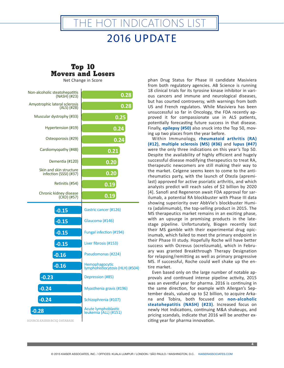### 2016 UPDATE

**IE HOT INDICATIONS LIST** 

#### **Top 10 Movers and Losers**

Net Change in Score

| Non-alcoholic steatohepatitis<br>$(NASH)$ (#23)             | 0.28                                                      |
|-------------------------------------------------------------|-----------------------------------------------------------|
| Amyotrophic lateral sclerosis<br>(ALS) (#28)                | 0.28                                                      |
| Muscular dystrophy (#33)                                    | 0.25                                                      |
| Hypertension (#19)                                          | 0.24                                                      |
| Osteoporosis (#29)                                          | 0.24                                                      |
| Cardiomyopathy (#48)                                        | 0.21                                                      |
| Dementia (#120)                                             | 0.20                                                      |
| Skin and skin structure<br>infection (SSSI) (#37)           | 0.20                                                      |
| Retinitis (#54)                                             | 0.19                                                      |
| Chronic kidney disease<br>(CKD) (#57)                       | 0.19                                                      |
| $-0.15$                                                     | Gastric cancer (#126)                                     |
| $-0.15$                                                     | Glaucoma (#146)                                           |
| $-0.15$                                                     | Fungal infection (#194)                                   |
| $-0.15$                                                     | Liver fibrosis (#153)                                     |
| $-0.16$                                                     | Pseudomonas (#224)                                        |
| $-0.16$                                                     | <b>Hemophagocytic</b><br>lymphohistiocytosis (HLH) (#504) |
| $-0.23$                                                     | Depression (#85)                                          |
| $-0.24$                                                     | Myasthenia gravis (#196)                                  |
| $-0.24$                                                     | Schizophrenia (#107)                                      |
| $-0.28$                                                     | Acute lymphoblastic<br>leukemia (ALL) (#151)              |
| $\Lambda$ וואת האחת ה $\Lambda$ ים היא היה את היה היה היה ה |                                                           |

phan Drug Status for Phase III candidate Masiviera from both regulatory agencies. AB Science is running 18 clinical trials for its tyrosine kinase inhibitor in various cancers and immune and neurological diseases, but has courted controversy, with warnings from both US and French regulators. While Masiviera has been unsuccessful so far in Oncology, the FDA recently approved it for compassionate use in ALS patients, potentially forecasting future success in that disease. Finally, **epilepsy (#50)** also snuck into the Top 50, moving up two places from the year before.

Within Immunology, **rheumatoid arthritis (RA) (#12)**, **multiple sclerosis (MS) (#36)** and **lupus (#47)** were the only three indications on this year's Top 50. Despite the availability of highly efficient and hugely successful disease modifying therapeutics to treat RA, therapeutic newcomers are still making their way to the market. Celgene seems keen to come to the antirheumatics party, with the launch of Otezla (apremilast) approved for active psoriatic arthritis, and which analysts predict will reach sales of \$2 billion by 2020 [4]. Sanofi and Regeneron await FDA approval for sarilumab, a potential RA blockbuster with Phase III data showing superiority over AbbVie's blockbuster Humira (adalimumab), the top-selling product in 2015. The MS therapeutics market remains in an exciting phase, with an upsurge in promising products in the latestage pipeline. Unfortunately, Biogen recently lost their MS gamble with their experimental drug opicinumab, which failed to meet the primary endpoint in their Phase III study. Hopefully Roche will have better success with Ocrevus (ocrelizumab), which in February was granted Breakthrough Therapy Designation for relapsing/remitting as well as primary progressive MS. If successful, Roche could well shake up the entire market.

Even based only on the large number of notable approvals and continued intense pipeline activity, 2015 was an eventful year for pharma. 2016 is continuing in the same direction, for example with Allergan's September deals, valued up to \$2 billion, to acquire Arkana and Tobira, both focused on **non-alcoholic steatohepatitis (NASH) (#23)**. Increased focus on newly Hot Indications, continuing M&A shakeups, and pricing scandals, indicate that 2016 will be another exciting year for pharma innovation.

SOURCE:KAISER/BCIQ DATABASE

**4**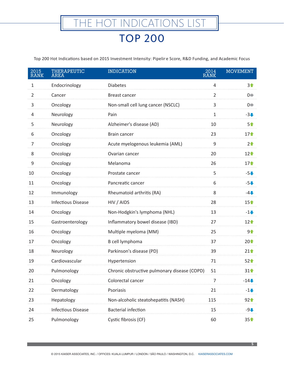Top 200 Hot Indications based on 2015 Investment Intensity: Pipeline Score, R&D Funding, and Academic Focus

| 2015<br><b>RANK</b> | <b>THERAPEUTIC</b><br><b>AREA</b> | <b>INDICATION</b>                            | 2014<br><b>RANK</b> | <b>MOVEMENT</b>     |
|---------------------|-----------------------------------|----------------------------------------------|---------------------|---------------------|
| $\mathbf{1}$        | Endocrinology                     | <b>Diabetes</b>                              | 4                   | $3+$                |
| $\overline{2}$      | Cancer                            | Breast cancer                                | 2                   | $0 \leftrightarrow$ |
| 3                   | Oncology                          | Non-small cell lung cancer (NSCLC)           | 3                   | $0 \leftrightarrow$ |
| 4                   | Neurology                         | Pain                                         | 1                   | $-3+$               |
| 5                   | Neurology                         | Alzheimer's disease (AD)                     | 10                  | 5合                  |
| 6                   | Oncology                          | Brain cancer                                 | 23                  | $17^{\circ}$        |
| 7                   | Oncology                          | Acute myelogenous leukemia (AML)             | 9                   | $2^{\circ}$         |
| 8                   | Oncology                          | Ovarian cancer                               | 20                  | $12+$               |
| 9                   | Oncology                          | Melanoma                                     | 26                  | $17^{\circ}$        |
| 10                  | Oncology                          | Prostate cancer                              | 5                   | $-5+$               |
| 11                  | Oncology                          | Pancreatic cancer                            | 6                   | $-5+$               |
| 12                  | Immunology                        | Rheumatoid arthritis (RA)                    | 8                   | $-4$                |
| 13                  | <b>Infectious Disease</b>         | HIV / AIDS                                   | 28                  | $15+$               |
| 14                  | Oncology                          | Non-Hodgkin's lymphoma (NHL)                 | 13                  | $-1+$               |
| 15                  | Gastroenterology                  | Inflammatory bowel disease (IBD)             | 27                  | $12+$               |
| 16                  | Oncology                          | Multiple myeloma (MM)                        | 25                  | 9 <sup>1</sup>      |
| 17                  | Oncology                          | B cell lymphoma                              | 37                  | $20+$               |
| 18                  | Neurology                         | Parkinson's disease (PD)                     | 39                  | $21+$               |
| 19                  | Cardiovascular                    | Hypertension                                 | 71                  | $52+$               |
| 20                  | Pulmonology                       | Chronic obstructive pulmonary disease (COPD) | 51                  | $31^$               |
| 21                  | Oncology                          | Colorectal cancer                            | 7                   | $-14$               |
| 22                  | Dermatology                       | Psoriasis                                    | 21                  | $-1+$               |
| 23                  | Hepatology                        | Non-alcoholic steatohepatitis (NASH)         | 115                 | 92 <sub>1</sub>     |
| 24                  | <b>Infectious Disease</b>         | <b>Bacterial infection</b>                   | 15                  | $-9$                |
| 25                  | Pulmonology                       | Cystic fibrosis (CF)                         | 60                  | 35 <sup>+</sup>     |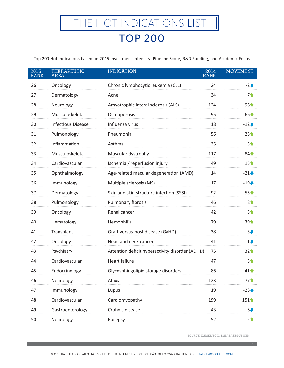Top 200 Hot Indications based on 2015 Investment Intensity: Pipeline Score, R&D Funding, and Academic Focus

| 2015<br><b>RANK</b> | <b>THERAPEUTIC</b><br><b>AREA</b> | <b>INDICATION</b>                               | $20\overline{14}$<br><b>RANK</b> | <b>MOVEMENT</b> |
|---------------------|-----------------------------------|-------------------------------------------------|----------------------------------|-----------------|
| 26                  | Oncology                          | Chronic lymphocytic leukemia (CLL)              | 24                               | $-2+$           |
| 27                  | Dermatology                       | Acne                                            | 34                               | 7个              |
| 28                  | Neurology                         | Amyotrophic lateral sclerosis (ALS)             | 124                              | 961             |
| 29                  | Musculoskeletal                   | Osteoporosis                                    | 95                               | 661             |
| 30                  | <b>Infectious Disease</b>         | Influenza virus                                 | 18                               | $-12$           |
| 31                  | Pulmonology                       | Pneumonia                                       | 56                               | $25+$           |
| 32                  | Inflammation                      | Asthma                                          | 35                               | $3+$            |
| 33                  | Musculoskeletal                   | Muscular dystrophy                              | 117                              | $84^{\circ}$    |
| 34                  | Cardiovascular                    | Ischemia / reperfusion injury                   | 49                               | $15+$           |
| 35                  | Ophthalmology                     | Age-related macular degeneration (AMD)          | 14                               | $-21$           |
| 36                  | Immunology                        | Multiple sclerosis (MS)                         | 17                               | $-19$           |
| 37                  | Dermatology                       | Skin and skin structure infection (SSSI)        | 92                               | $55+$           |
| 38                  | Pulmonology                       | Pulmonary fibrosis                              | 46                               | 8 <sup>4</sup>  |
| 39                  | Oncology                          | Renal cancer                                    | 42                               | 3个              |
| 40                  | Hematology                        | Hemophilia                                      | 79                               | 391             |
| 41                  | Transplant                        | Graft-versus-host disease (GvHD)                | 38                               | $-3+$           |
| 42                  | Oncology                          | Head and neck cancer                            | 41                               | $-1+$           |
| 43                  | Psychiatry                        | Attention deficit hyperactivity disorder (ADHD) | 75                               | 32 <sub>1</sub> |
| 44                  | Cardiovascular                    | <b>Heart failure</b>                            | 47                               | 3个              |
| 45                  | Endocrinology                     | Glycosphingolipid storage disorders             | 86                               | $41^$           |
| 46                  | Neurology                         | Ataxia                                          | 123                              | 77 <sup>4</sup> |
| 47                  | Immunology                        | Lupus                                           | 19                               | $-28$           |
| 48                  | Cardiovascular                    | Cardiomyopathy                                  | 199                              | $151^{\circ}$   |
| 49                  | Gastroenterology                  | Crohn's disease                                 | 43                               | $-6$            |
| 50                  | Neurology                         | Epilepsy                                        | 52                               | $2+$            |

SOURCE: KAISER/BCIQ DATABASE/PUBMED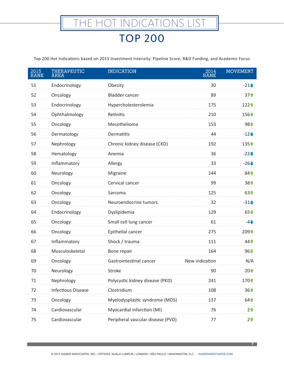| 2015<br><b>RANK</b> | <b>THERAPEUTIC</b><br><b>AREA</b> | <b>INDICATION</b>                 | 2014<br><b>RANK</b> | <b>MOVEMENT</b>  |
|---------------------|-----------------------------------|-----------------------------------|---------------------|------------------|
| 51                  | Endocrinology                     | Obesity                           | 30                  | $-21$            |
| 52                  | Oncology                          | <b>Bladder cancer</b>             | 89                  | $37+$            |
| 53                  | Endocrinology                     | Hypercholesterolemia              | 175                 | 122个             |
| 54                  | Ophthalmology                     | Retinitis                         | 210                 | 156 <sup>+</sup> |
| 55                  | Oncology                          | Mesothelioma                      | 153                 | 981              |
| 56                  | Dermatology                       | Dermatitis                        | 44                  | $-12$            |
| 57                  | Nephrology                        | Chronic kidney disease (CKD)      | 192                 | 135个             |
| 58                  | Hematology                        | Anemia                            | 36                  | $-22$            |
| 59                  | Inflammatory                      | Allergy                           | 33                  | $-26$            |
| 60                  | Neurology                         | Migraine                          | 144                 | $84^{\circ}$     |
| 61                  | Oncology                          | Cervical cancer                   | 99                  | 381              |
| 62                  | Oncology                          | Sarcoma                           | 125                 | 631              |
| 63                  | Oncology                          | Neuroendocrine tumors             | 32                  | $-31$            |
| 64                  | Endocrinology                     | Dyslipidemia                      | 129                 | 651              |
| 65                  | Oncology                          | Small cell lung cancer            | 61                  | $-4$             |
| 66                  | Oncology                          | Epithelial cancer                 | 275                 | 209个             |
| 67                  | Inflammatory                      | Shock / trauma                    | 111                 | $44^{\circ}$     |
| 68                  | Musculoskeletal                   | Bone repair                       | 164                 | 961              |
| 69                  | Oncology                          | Gastrointestinal cancer           | New indication      | N/A              |
| 70                  | Neurology                         | Stroke                            | 90                  | $20+$            |
| 71                  | Nephrology                        | Polycystic kidney disease (PKD)   | 241                 | 170              |
| 72                  | <b>Infectious Disease</b>         | Clostridium                       | 108                 | $36+$            |
| 73                  | Oncology                          | Myelodysplastic syndrome (MDS)    | 137                 | $64^$            |
| 74                  | Cardiovascular                    | Myocardial infarction (MI)        | 76                  | $2+$             |
| 75                  | Cardiovascular                    | Peripheral vascular disease (PVD) | 77                  | $2^$             |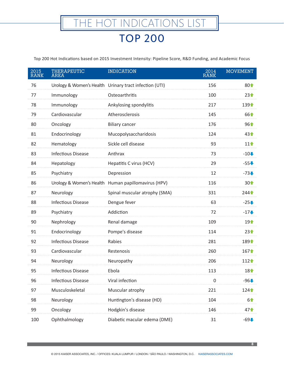| 2015<br><b>RANK</b> | THERAPEUTIC<br><b>AREA</b> | <b>INDICATION</b>                                      | $20\overline{14}$<br><b>RANK</b> | <b>MOVEMENT</b> |
|---------------------|----------------------------|--------------------------------------------------------|----------------------------------|-----------------|
| 76                  |                            | Urology & Women's Health Urinary tract infection (UTI) | 156                              | 801             |
| 77                  | Immunology                 | Osteoarthritis                                         | 100                              | $23+$           |
| 78                  | Immunology                 | Ankylosing spondylitis                                 | 217                              | 139个            |
| 79                  | Cardiovascular             | Atherosclerosis                                        | 145                              | 661             |
| 80                  | Oncology                   | <b>Biliary cancer</b>                                  | 176                              | $96+$           |
| 81                  | Endocrinology              | Mucopolysaccharidosis                                  | 124                              | $43+$           |
| 82                  | Hematology                 | Sickle cell disease                                    | 93                               | $11^$           |
| 83                  | <b>Infectious Disease</b>  | Anthrax                                                | 73                               | $-10$           |
| 84                  | Hepatology                 | Hepatitis C virus (HCV)                                | 29                               | $-55$           |
| 85                  | Psychiatry                 | Depression                                             | 12                               | $-73$           |
| 86                  | Urology & Women's Health   | Human papillomavirus (HPV)                             | 116                              | $30+$           |
| 87                  | Neurology                  | Spinal muscular atrophy (SMA)                          | 331                              | 244个            |
| 88                  | <b>Infectious Disease</b>  | Dengue fever                                           | 63                               | $-25$           |
| 89                  | Psychiatry                 | Addiction                                              | 72                               | $-17$           |
| 90                  | Nephrology                 | Renal damage                                           | 109                              | $19+$           |
| 91                  | Endocrinology              | Pompe's disease                                        | 114                              | $23+$           |
| 92                  | <b>Infectious Disease</b>  | Rabies                                                 | 281                              | 1891            |
| 93                  | Cardiovascular             | Restenosis                                             | 260                              | $167$           |
| 94                  | Neurology                  | Neuropathy                                             | 206                              | 112个            |
| 95                  | <b>Infectious Disease</b>  | Ebola                                                  | 113                              | $18+$           |
| 96                  | <b>Infectious Disease</b>  | Viral infection                                        | 0                                | $-96$           |
| 97                  | Musculoskeletal            | Muscular atrophy                                       | 221                              | $124 +$         |
| 98                  | Neurology                  | Huntington's disease (HD)                              | 104                              | 61              |
| 99                  | Oncology                   | Hodgkin's disease                                      | 146                              | $47^{\circ}$    |
| 100                 | Ophthalmology              | Diabetic macular edema (DME)                           | 31                               | $-69$           |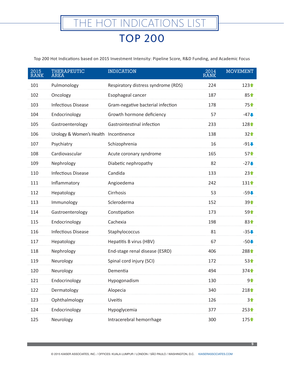| 2015<br><b>RANK</b> | <b>THERAPEUTIC</b><br><b>AREA</b> | <b>INDICATION</b>                   | $20\overline{14}$<br><b>RANK</b> | <b>MOVEMENT</b>                        |
|---------------------|-----------------------------------|-------------------------------------|----------------------------------|----------------------------------------|
| 101                 | Pulmonology                       | Respiratory distress syndrome (RDS) | 224                              | $123+$                                 |
| 102                 | Oncology                          | Esophageal cancer                   | 187                              | 851                                    |
| 103                 | <b>Infectious Disease</b>         | Gram-negative bacterial infection   | 178                              | 75 <sup>1</sup>                        |
| 104                 | Endocrinology                     | Growth hormone deficiency           | 57                               | $-47$                                  |
| 105                 | Gastroenterology                  | Gastrointestinal infection          | 233                              | 128 <sup><math>\triangleq</math></sup> |
| 106                 | Urology & Women's Health          | Incontinence                        | 138                              | 32 <sub>1</sub>                        |
| 107                 | Psychiatry                        | Schizophrenia                       | 16                               | $-91$                                  |
| 108                 | Cardiovascular                    | Acute coronary syndrome             | 165                              | $57^{\circ}$                           |
| 109                 | Nephrology                        | Diabetic nephropathy                | 82                               | $-27$                                  |
| 110                 | <b>Infectious Disease</b>         | Candida                             | 133                              | $23+$                                  |
| 111                 | Inflammatory                      | Angioedema                          | 242                              | 131个                                   |
| 112                 | Hepatology                        | Cirrhosis                           | 53                               | $-59$                                  |
| 113                 | Immunology                        | Scleroderma                         | 152                              | $39+$                                  |
| 114                 | Gastroenterology                  | Constipation                        | 173                              | 59 <sup>1</sup>                        |
| 115                 | Endocrinology                     | Cachexia                            | 198                              | 831                                    |
| 116                 | <b>Infectious Disease</b>         | Staphylococcus                      | 81                               | $-35$                                  |
| 117                 | Hepatology                        | Hepatitis B virus (HBV)             | 67                               | $-50$                                  |
| 118                 | Nephrology                        | End-stage renal disease (ESRD)      | 406                              | 288个                                   |
| 119                 | Neurology                         | Spinal cord injury (SCI)            | 172                              | $53+$                                  |
| 120                 | Neurology                         | Dementia                            | 494                              | 374 <sup>•</sup>                       |
| 121                 | Endocrinology                     | Hypogonadism                        | 130                              | 9个                                     |
| 122                 | Dermatology                       | Alopecia                            | 340                              | 218                                    |
| 123                 | Ophthalmology                     | Uveitis                             | 126                              | 3合                                     |
| 124                 | Endocrinology                     | Hypoglycemia                        | 377                              | 253个                                   |
| 125                 | Neurology                         | Intracerebral hemorrhage            | 300                              | 175                                    |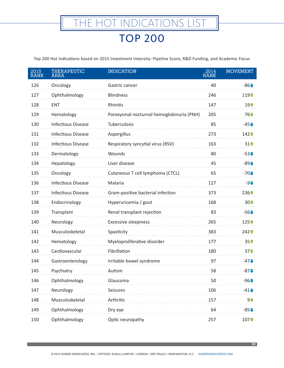| 2015<br><b>RANK</b> | <b>THERAPEUTIC</b><br><b>AREA</b> | <b>INDICATION</b>                         | 2014<br><b>RANK</b> | <b>MOVEMENT</b> |
|---------------------|-----------------------------------|-------------------------------------------|---------------------|-----------------|
| 126                 | Oncology                          | Gastric cancer                            | 40                  | $-86$           |
| 127                 | Ophthalmology                     | <b>Blindness</b>                          | 246                 | $119+$          |
| 128                 | ENT                               | Rhinitis                                  | 147                 | $19+$           |
| 129                 | Hematology                        | Paroxysmal nocturnal hemoglobinuria (PNH) | 205                 | $76+$           |
| 130                 | <b>Infectious Disease</b>         | <b>Tuberculosis</b>                       | 85                  | $-45$           |
| 131                 | <b>Infectious Disease</b>         | Aspergillus                               | 273                 | $142+$          |
| 132                 | <b>Infectious Disease</b>         | Respiratory syncytial virus (RSV)         | 163                 | $31^$           |
| 133                 | Dermatology                       | Wounds                                    | 80                  | $-53$           |
| 134                 | Hepatology                        | Liver disease                             | 45                  | $-89$           |
| 135                 | Oncology                          | Cutaneous T cell lymphoma (CTCL)          | 65                  | $-70$           |
| 136                 | <b>Infectious Disease</b>         | Malaria                                   | 127                 | $-9$            |
| 137                 | <b>Infectious Disease</b>         | Gram-positive bacterial infection         | 373                 | $236+$          |
| 138                 | Endocrinology                     | Hyperuricemia / gout                      | 168                 | $30+$           |
| 139                 | Transplant                        | Renal transplant rejection                | 83                  | $-56$           |
| 140                 | Neurology                         | <b>Excessive sleepiness</b>               | 265                 | 125个            |
| 141                 | Musculoskeletal                   | Spasticity                                | 383                 | 242个            |
| 142                 | Hematology                        | Myeloproliferative disorder               | 177                 | $35+$           |
| 143                 | Cardiovascular                    | Fibrillation                              | 180                 | $37+$           |
| 144                 | Gastroenterology                  | Irritable bowel syndrome                  | 97                  | $-47$           |
| 145                 | Psychiatry                        | Autism                                    | 58                  | $-87$           |
| 146                 | Ophthalmology                     | Glaucoma                                  | 50                  | $-96$           |
| 147                 | Neurology                         | Seizures                                  | 106                 | $-41$           |
| 148                 | Musculoskeletal                   | Arthritis                                 | 157                 | $9^{\circ}$     |
| 149                 | Ophthalmology                     | Dry eye                                   | 64                  | $-85$           |
| 150                 | Ophthalmology                     | Optic neuropathy                          | 257                 | 1071            |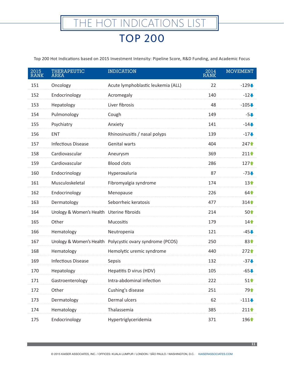| 2015<br><b>RANK</b> | <b>THERAPEUTIC</b><br><b>AREA</b>         | <b>INDICATION</b>                                         | 2014<br><b>RANK</b> | <b>MOVEMENT</b> |
|---------------------|-------------------------------------------|-----------------------------------------------------------|---------------------|-----------------|
| 151                 | Oncology                                  | Acute lymphoblastic leukemia (ALL)                        | 22                  | $-129 +$        |
| 152                 | Endocrinology                             | Acromegaly                                                | 140                 | $-12$           |
| 153                 | Hepatology                                | Liver fibrosis                                            | 48                  | $-105 +$        |
| 154                 | Pulmonology                               | Cough                                                     | 149                 | $-5+$           |
| 155                 | Psychiatry                                | Anxiety                                                   | 141                 | $-14$           |
| 156                 | <b>ENT</b>                                | Rhinosinusitis / nasal polyps                             | 139                 | $-17$           |
| 157                 | <b>Infectious Disease</b>                 | Genital warts                                             | 404                 | 247个            |
| 158                 | Cardiovascular                            | Aneurysm                                                  | 369                 | $211+$          |
| 159                 | Cardiovascular                            | <b>Blood clots</b>                                        | 286                 | 127个            |
| 160                 | Endocrinology                             | Hyperoxaluria                                             | 87                  | $-73$           |
| 161                 | Musculoskeletal                           | Fibromyalgia syndrome                                     | 174                 | $13+$           |
| 162                 | Endocrinology                             | Menopause                                                 | 226                 | $64^$           |
| 163                 | Dermatology                               | Seborrheic keratosis                                      | 477                 | 314个            |
| 164                 | Urology & Women's Health Uterine fibroids |                                                           | 214                 | $50+$           |
| 165                 | Other                                     | Mucositis                                                 | 179                 | $14^$           |
| 166                 | Hematology                                | Neutropenia                                               | 121                 | $-45$           |
| 167                 |                                           | Urology & Women's Health Polycystic ovary syndrome (PCOS) | 250                 | $83+$           |
| 168                 | Hematology                                | Hemolytic uremic syndrome                                 | 440                 | 272个            |
| 169                 | <b>Infectious Disease</b>                 | Sepsis                                                    | 132                 | $-37$           |
| 170                 | Hepatology                                | Hepatitis D virus (HDV)                                   | 105                 | $-65$           |
| 171                 | Gastroenterology                          | Intra-abdominal infection                                 | 222                 | $51^{\circ}$    |
| 172                 | Other                                     | Cushing's disease                                         | 251                 | 791             |
| 173                 | Dermatology                               | Dermal ulcers                                             | 62                  | $-111$          |
| 174                 | Hematology                                | Thalassemia                                               | 385                 | $211 +$         |
| 175                 | Endocrinology                             | Hypertriglyceridemia                                      | 371                 | 1961            |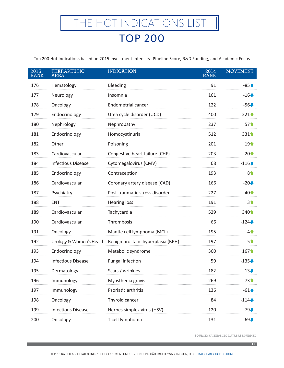Top 200 Hot Indications based on 2015 Investment Intensity: Pipeline Score, R&D Funding, and Academic Focus

| $20\overline{15}$<br><b>RANK</b> | <b>THERAPEUTIC</b><br><b>AREA</b> | <b>INDICATION</b>                                           | $20\overline{14}$<br><b>RANK</b> | <b>MOVEMENT</b> |
|----------------------------------|-----------------------------------|-------------------------------------------------------------|----------------------------------|-----------------|
| 176                              | Hematology                        | Bleeding                                                    | 91                               | $-85$           |
| 177                              | Neurology                         | Insomnia                                                    | 161                              | $-16$           |
| 178                              | Oncology                          | Endometrial cancer                                          | 122                              | $-56$           |
| 179                              | Endocrinology                     | Urea cycle disorder (UCD)                                   | 400                              | $221 +$         |
| 180                              | Nephrology                        | Nephropathy                                                 | 237                              | $57^{\circ}$    |
| 181                              | Endocrinology                     | Homocystinuria                                              | 512                              | 3314            |
| 182                              | Other                             | Poisoning                                                   | 201                              | $19+$           |
| 183                              | Cardiovascular                    | Congestive heart failure (CHF)                              | 203                              | $20+$           |
| 184                              | <b>Infectious Disease</b>         | Cytomegalovirus (CMV)                                       | 68                               | $-116$          |
| 185                              | Endocrinology                     | Contraception                                               | 193                              | $8+$            |
| 186                              | Cardiovascular                    | Coronary artery disease (CAD)                               | 166                              | $-20$           |
| 187                              | Psychiatry                        | Post-traumatic stress disorder                              | 227                              | $40+$           |
| 188                              | <b>ENT</b>                        | <b>Hearing loss</b>                                         | 191                              | 3个              |
| 189                              | Cardiovascular                    | Tachycardia                                                 | 529                              | 340个            |
| 190                              | Cardiovascular                    | Thrombosis                                                  | 66                               | $-124$          |
| 191                              | Oncology                          | Mantle cell lymphoma (MCL)                                  | 195                              | 41              |
| 192                              |                                   | Urology & Women's Health Benign prostatic hyperplasia (BPH) | 197                              | 5合              |
| 193                              | Endocrinology                     | Metabolic syndrome                                          | 360                              | $167$           |
| 194                              | <b>Infectious Disease</b>         | Fungal infection                                            | 59                               | $-135+$         |
| 195                              | Dermatology                       | Scars / wrinkles                                            | 182                              | $-13$           |
| 196                              | Immunology                        | Myasthenia gravis                                           | 269                              | 731             |
| 197                              | Immunology                        | Psoriatic arthritis                                         | 136                              | $-61$           |
| 198                              | Oncology                          | Thyroid cancer                                              | 84                               | $-114$          |
| 199                              | <b>Infectious Disease</b>         | Herpes simplex virus (HSV)                                  | 120                              | $-79$           |
| 200                              | Oncology                          | T cell lymphoma                                             | 131                              | $-69$           |

SOURCE: KAISER/BCIQ DATABASE/PUBMED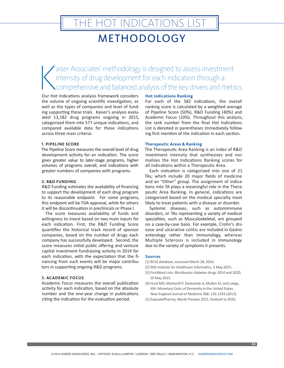# HE HOT INDICATIONS LIST

### METHODOLOGY

 $\bigwedge$ aiser Associates' methodology is designed to assess investment intensity of drug development for each indication through a comprehensive and balanced analysis of the key drivers and metrics.

Our Hot Indications analysis framework considers the volume of ongoing scientific investigation, as well as the types of companies and level of funding supporting these trials. Kaiser's analysis evaluated 13,182 drug programs ongoing in 2015, categorized them into 577 unique indications, and compared available data for these indications across three main criteria:

#### **1. PIPELINE SCORE**

The Pipeline Score measures the overall level of drug development activity for an indication. The score gives greater value to later-stage programs, higher volumes of programs overall, and indications with greater numbers of companies with programs.

#### **2. R&D FUNDING**

R&D Funding estimates the availability of financing to support the development of each drug program to its reasonable endpoint. For some programs, this endpoint will be FDA approval, while for others it will be discontinuation in preclinicals or Phase I.

The score measures availability of funds and willingness to invest based on two main inputs for each indication. First, the R&D Funding Score quantifies the historical track record of sponsor companies, based on the number of drugs each company has successfully developed. Second, the score measures initial public offering and venture capital investment fundraising activity in 2014 for each indication, with the expectation that the financing from such events will be major contributors in supporting ongoing R&D programs.

#### **3. ACADEMIC FOCUS**

Academic Focus measures the overall publication activity for each indication, based on the absolute number and the one-year change in publications citing the indication for the evaluation period.

#### **Hot Indications Ranking**

For each of the 582 indications, the overall ranking score is calculated by a weighted average of Pipeline Score (50%), R&D Funding (40%) and Academic Focus (10%). Throughout this analysis, the rank number from the final Hot Indications List is denoted in parentheses immediately following first mention of the indication in each section.

#### **Therapeutic Areas & Ranking**

The Therapeutic Area Ranking is an index of R&D investment intensity that synthesizes and normalizes the Hot Indications Ranking scores for all indications within a Therapeutic Area.

Each indication is categorized into one of 21 TAs, which include 20 major fields of medicine and an "Other" group. The assignment of indications into TA plays a meaningful role in the Therapeutic Area Ranking. In general, indications are categorized based on the medical specialty most likely to treat patients with a disease or disorder.

Systemic diseases, such as automimmune disorders, or TAs representing a variety of medical specialties, such as Musculoskeletal, are grouped on a case-by-case basis. For example, Crohn's disease and ulcerative colitis are included in Gastroenterology rather than Immunology, whereas Multiple Sclerosis is included in Immunology due to the variety of symptoms it presents.

#### **Sources**

- [1] BCIQ database, accessed March 28, 2016.
- [2] IMS Institute for Healthcare Informatics, 5 May 2015.
- [3] FirstWord Lists: Blockbuster diabetes drugs 2014 and 2020, 10 May 2015.
- [4] Hurd MD, Martorell P, Delavande A, Mullen KJ, and Langa, KM. Monetary Costs of Dementia in the United States. New England Journal of Medicine 368: 126-1334 (2013).
- [5] EvaluatePharma, World Preview 2015, Outlook to 2020.